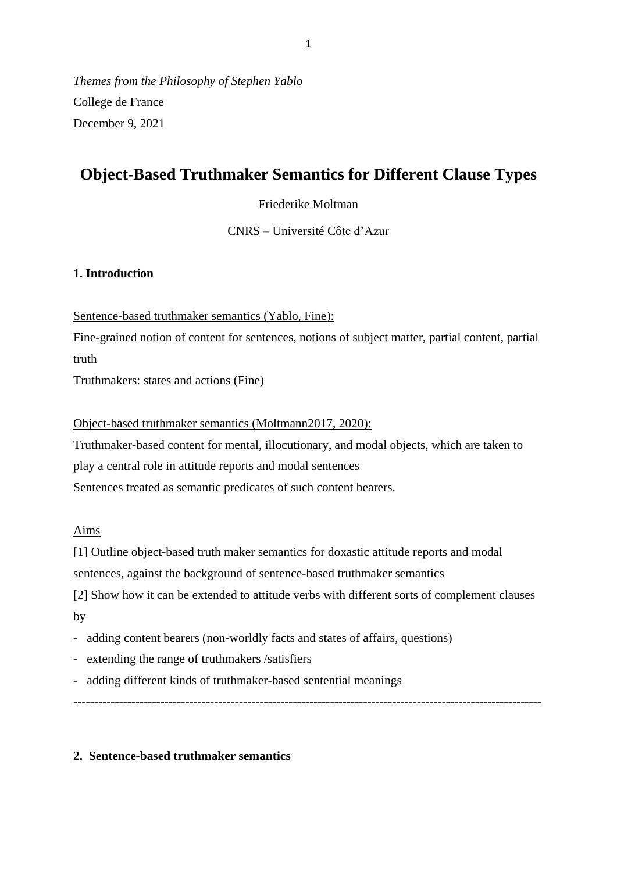*Themes from the Philosophy of Stephen Yablo* College de France December 9, 2021

# **Object-Based Truthmaker Semantics for Different Clause Types**

Friederike Moltman

CNRS – Université Côte d'Azur

# **1. Introduction**

Sentence-based truthmaker semantics (Yablo, Fine):

Fine-grained notion of content for sentences, notions of subject matter, partial content, partial truth

Truthmakers: states and actions (Fine)

Object-based truthmaker semantics (Moltmann2017, 2020):

Truthmaker-based content for mental, illocutionary, and modal objects, which are taken to play a central role in attitude reports and modal sentences Sentences treated as semantic predicates of such content bearers.

### Aims

[1] Outline object-based truth maker semantics for doxastic attitude reports and modal

sentences, against the background of sentence-based truthmaker semantics

[2] Show how it can be extended to attitude verbs with different sorts of complement clauses by

- adding content bearers (non-worldly facts and states of affairs, questions)
- extending the range of truthmakers /satisfiers
- adding different kinds of truthmaker-based sentential meanings

-----------------------------------------------------------------------------------------------------------------

# **2. Sentence-based truthmaker semantics**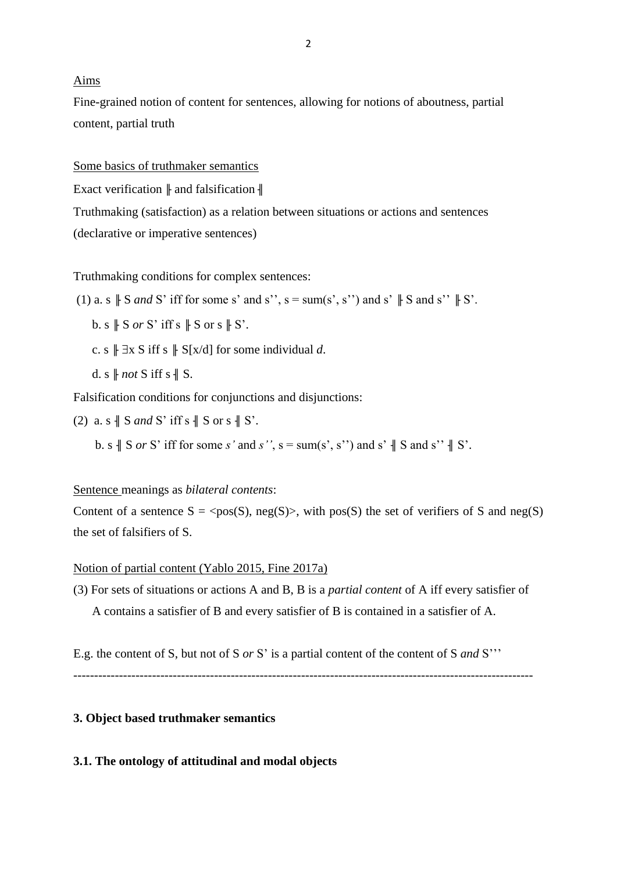#### Aims

Fine-grained notion of content for sentences, allowing for notions of aboutness, partial content, partial truth

Some basics of truthmaker semantics

Exact verification  $\|$  and falsification  $\|$ 

Truthmaking (satisfaction) as a relation between situations or actions and sentences (declarative or imperative sentences)

Truthmaking conditions for complex sentences:

(1) a. s 
$$
\parallel
$$
 S and S' iff for some s' and s'', s = sum(s', s'') and s'  $\parallel$  S and s''  $\parallel$  S'.

b. s  $\parallel$  S *or* S' iff s  $\parallel$  S or s  $\parallel$  S'.

c. s  $\parallel \exists x \, S$  iff s  $\parallel S[x/d]$  for some individual d.

d. s  $\parallel$  *not* S iff s  $\parallel$  S.

Falsification conditions for conjunctions and disjunctions:

(2) a. s  $\parallel$  S *and* S' iff s  $\parallel$  S or s  $\parallel$  S'.

b. s  $\parallel$  S *or* S' iff for some *s'* and *s''*, s = sum(s', s'') and s'  $\parallel$  S and s''  $\parallel$  S'.

### Sentence meanings as *bilateral contents*:

Content of a sentence  $S = \langle pos(S), neg(S) \rangle$ , with pos(S) the set of verifiers of S and neg(S) the set of falsifiers of S.

#### Notion of partial content (Yablo 2015, Fine 2017a)

(3) For sets of situations or actions A and B, B is a *partial content* of A iff every satisfier of A contains a satisfier of B and every satisfier of B is contained in a satisfier of A.

E.g. the content of S, but not of S *or* S' is a partial content of the content of S *and* S'''

---------------------------------------------------------------------------------------------------------------

### **3. Object based truthmaker semantics**

#### **3.1. The ontology of attitudinal and modal objects**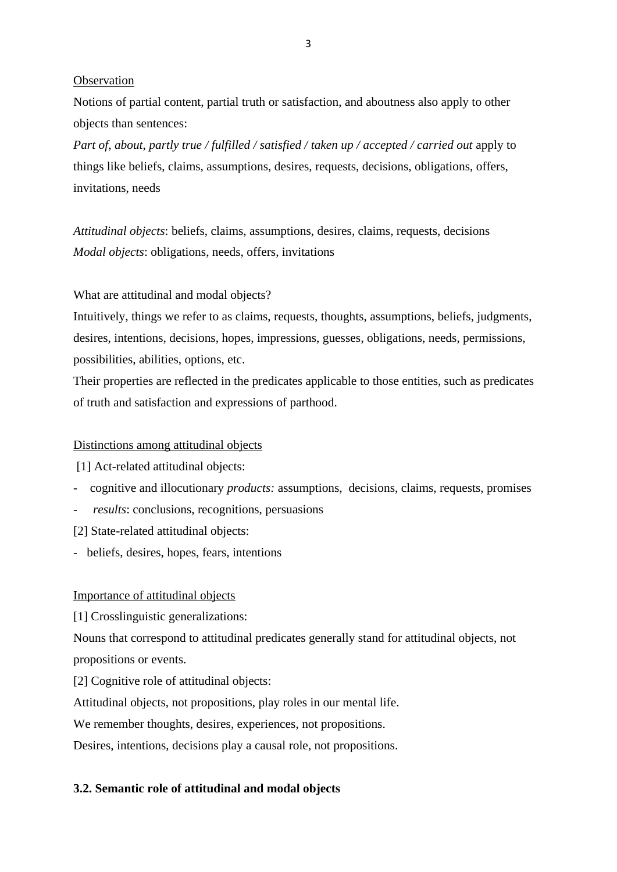#### **Observation**

Notions of partial content, partial truth or satisfaction, and aboutness also apply to other objects than sentences:

*Part of*, *about*, *partly true / fulfilled / satisfied / taken up / accepted / carried out* apply to things like beliefs, claims, assumptions, desires, requests, decisions, obligations, offers, invitations, needs

*Attitudinal objects*: beliefs, claims, assumptions, desires, claims, requests, decisions *Modal objects*: obligations, needs, offers, invitations

### What are attitudinal and modal objects?

Intuitively, things we refer to as claims, requests, thoughts, assumptions, beliefs, judgments, desires, intentions, decisions, hopes, impressions, guesses, obligations, needs, permissions, possibilities, abilities, options, etc.

Their properties are reflected in the predicates applicable to those entities, such as predicates of truth and satisfaction and expressions of parthood.

### Distinctions among attitudinal objects

[1] Act-related attitudinal objects:

- cognitive and illocutionary *products:* assumptions, decisions, claims, requests, promises
- *results*: conclusions, recognitions, persuasions
- [2] State-related attitudinal objects:
- beliefs, desires, hopes, fears, intentions

#### Importance of attitudinal objects

[1] Crosslinguistic generalizations:

Nouns that correspond to attitudinal predicates generally stand for attitudinal objects, not propositions or events.

[2] Cognitive role of attitudinal objects:

Attitudinal objects, not propositions, play roles in our mental life.

We remember thoughts, desires, experiences, not propositions.

Desires, intentions, decisions play a causal role, not propositions.

### **3.2. Semantic role of attitudinal and modal objects**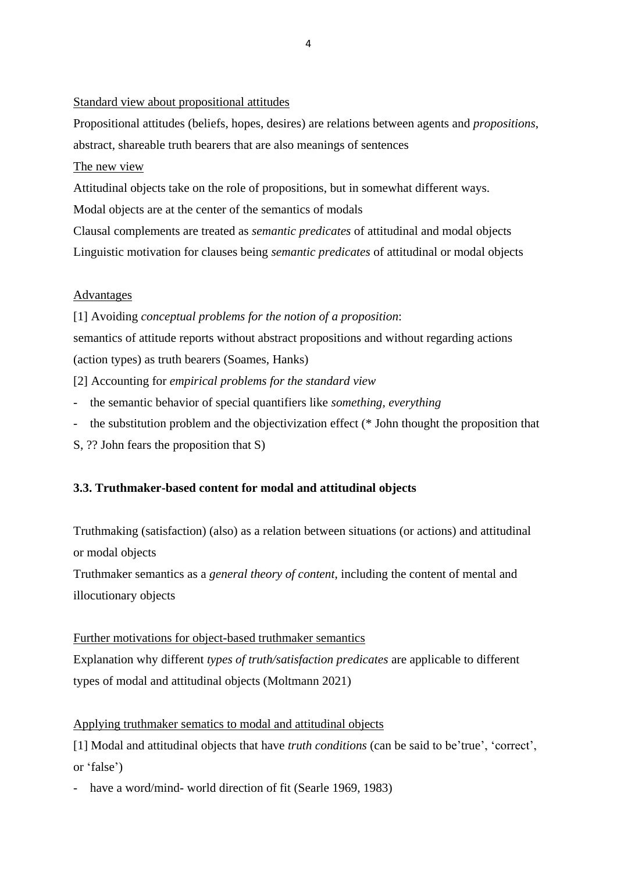### Standard view about propositional attitudes

Propositional attitudes (beliefs, hopes, desires) are relations between agents and *propositions*, abstract, shareable truth bearers that are also meanings of sentences

# The new view

Attitudinal objects take on the role of propositions, but in somewhat different ways.

Modal objects are at the center of the semantics of modals

Clausal complements are treated as *semantic predicates* of attitudinal and modal objects Linguistic motivation for clauses being *semantic predicates* of attitudinal or modal objects

# Advantages

[1] Avoiding *conceptual problems for the notion of a proposition*:

semantics of attitude reports without abstract propositions and without regarding actions (action types) as truth bearers (Soames, Hanks)

[2] Accounting for *empirical problems for the standard view*

- the semantic behavior of special quantifiers like *something, everything*
- the substitution problem and the objectivization effect (\* John thought the proposition that
- S, ?? John fears the proposition that S)

# **3.3. Truthmaker-based content for modal and attitudinal objects**

Truthmaking (satisfaction) (also) as a relation between situations (or actions) and attitudinal or modal objects

Truthmaker semantics as a *general theory of content*, including the content of mental and illocutionary objects

# Further motivations for object-based truthmaker semantics

Explanation why different *types of truth/satisfaction predicates* are applicable to different types of modal and attitudinal objects (Moltmann 2021)

# Applying truthmaker sematics to modal and attitudinal objects

[1] Modal and attitudinal objects that have *truth conditions* (can be said to be'true', 'correct', or 'false')

have a word/mind- world direction of fit (Searle 1969, 1983)

4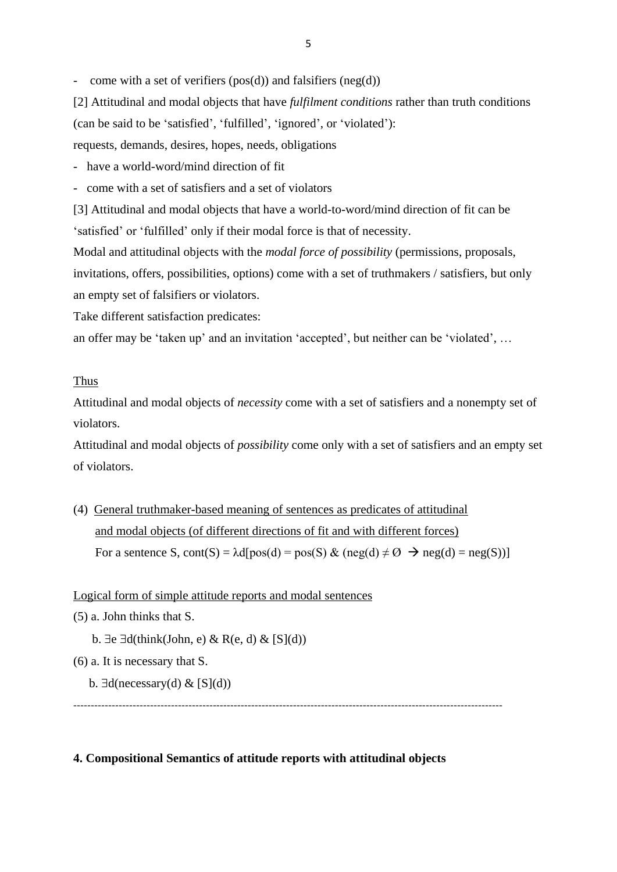come with a set of verifiers (pos(d)) and falsifiers (neg(d))

[2] Attitudinal and modal objects that have *fulfilment conditions* rather than truth conditions (can be said to be 'satisfied', 'fulfilled', 'ignored', or 'violated'): requests, demands, desires, hopes, needs, obligations

- have a world-word/mind direction of fit

- come with a set of satisfiers and a set of violators

[3] Attitudinal and modal objects that have a world-to-word/mind direction of fit can be 'satisfied' or 'fulfilled' only if their modal force is that of necessity.

Modal and attitudinal objects with the *modal force of possibility* (permissions, proposals, invitations, offers, possibilities, options) come with a set of truthmakers / satisfiers, but only an empty set of falsifiers or violators.

Take different satisfaction predicates:

an offer may be 'taken up' and an invitation 'accepted', but neither can be 'violated', …

### Thus

Attitudinal and modal objects of *necessity* come with a set of satisfiers and a nonempty set of violators.

Attitudinal and modal objects of *possibility* come only with a set of satisfiers and an empty set of violators.

(4) General truthmaker-based meaning of sentences as predicates of attitudinal and modal objects (of different directions of fit and with different forces) For a sentence S, cont(S) =  $\lambda$ d[pos(d) = pos(S) & (neg(d)  $\neq \emptyset$   $\rightarrow$  neg(d) = neg(S))]

### Logical form of simple attitude reports and modal sentences

(5) a. John thinks that S.

b.  $\exists e \, \exists d(\text{think}(\text{John}, e) \& R(e, d) \& [S](d))$ 

- (6) a. It is necessary that S.
	- b.  $\exists d(necessary(d) \& [S](d))$

---------------------------------------------------------------------------------------------------------------------------

### **4. Compositional Semantics of attitude reports with attitudinal objects**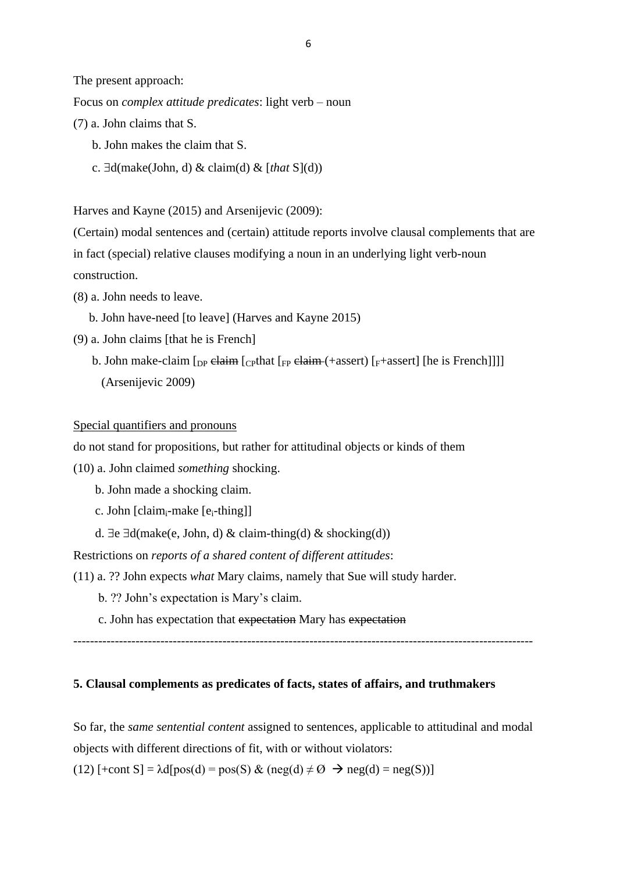The present approach:

Focus on *complex attitude predicates*: light verb – noun

- (7) a. John claims that S.
	- b. John makes the claim that S.
	- c.  $\exists d(make(John, d) \& claim(d) \& [that S](d))$

Harves and Kayne (2015) and Arsenijevic (2009):

(Certain) modal sentences and (certain) attitude reports involve clausal complements that are in fact (special) relative clauses modifying a noun in an underlying light verb-noun construction.

- (8) a. John needs to leave.
	- b. John have-need [to leave] (Harves and Kayne 2015)
- (9) a. John claims [that he is French]
	- b. John make-claim  $\lceil_{DP}$  claim  $\lceil_{CP}$  chaim (+assert)  $\lceil_{F}$ +assert]  $\lceil_{P}$  is French]]] (Arsenijevic 2009)

### Special quantifiers and pronouns

do not stand for propositions, but rather for attitudinal objects or kinds of them

- (10) a. John claimed *something* shocking.
	- b. John made a shocking claim.
	- c. John  $\lceil$ claim<sub>i</sub>-make  $\lceil$ e<sub>i</sub>-thing $\rceil$ ]
	- d.  $\exists e \, \exists d(make(e, John, d) \& claim\text{-}thing(d) \& shocking(d))$

Restrictions on *reports of a shared content of different attitudes*:

(11) a. ?? John expects *what* Mary claims, namely that Sue will study harder.

b. ?? John's expectation is Mary's claim.

c. John has expectation that expectation Mary has expectation

---------------------------------------------------------------------------------------------------------------

### **5. Clausal complements as predicates of facts, states of affairs, and truthmakers**

So far, the *same sentential content* assigned to sentences, applicable to attitudinal and modal objects with different directions of fit, with or without violators:

(12)  $[-\text{const } S] = \lambda d[\text{pos}(d) = \text{pos}(S) \& (\text{neg}(d) \neq \emptyset \rightarrow \text{neg}(d) = \text{neg}(S))]$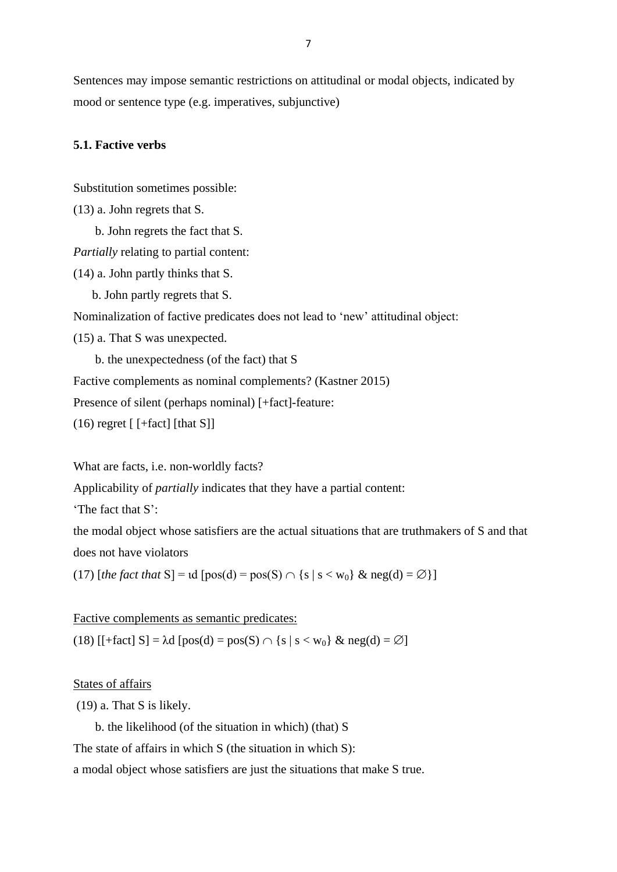Sentences may impose semantic restrictions on attitudinal or modal objects, indicated by mood or sentence type (e.g. imperatives, subjunctive)

# **5.1. Factive verbs**

Substitution sometimes possible:

(13) a. John regrets that S.

b. John regrets the fact that S.

*Partially* relating to partial content:

(14) a. John partly thinks that S.

b. John partly regrets that S.

Nominalization of factive predicates does not lead to 'new' attitudinal object:

(15) a. That S was unexpected.

b. the unexpectedness (of the fact) that S

Factive complements as nominal complements? (Kastner 2015)

Presence of silent (perhaps nominal) [+fact]-feature:

 $(16)$  regret  $[$  [+fact] [that S]]

What are facts, i.e. non-worldly facts?

Applicability of *partially* indicates that they have a partial content:

'The fact that S':

the modal object whose satisfiers are the actual situations that are truthmakers of S and that does not have violators

(17)  $[the fact that S] = id [pos(d) = pos(S) \cap {s | s < w_0} \& neg(d) = \emptyset}]$ 

### Factive complements as semantic predicates:

(18) [[+fact] S] = λd [pos(d) = pos(S) {s | s < w0} & neg(d) = ]

States of affairs

(19) a. That S is likely.

b. the likelihood (of the situation in which) (that) S

The state of affairs in which S (the situation in which S):

a modal object whose satisfiers are just the situations that make S true.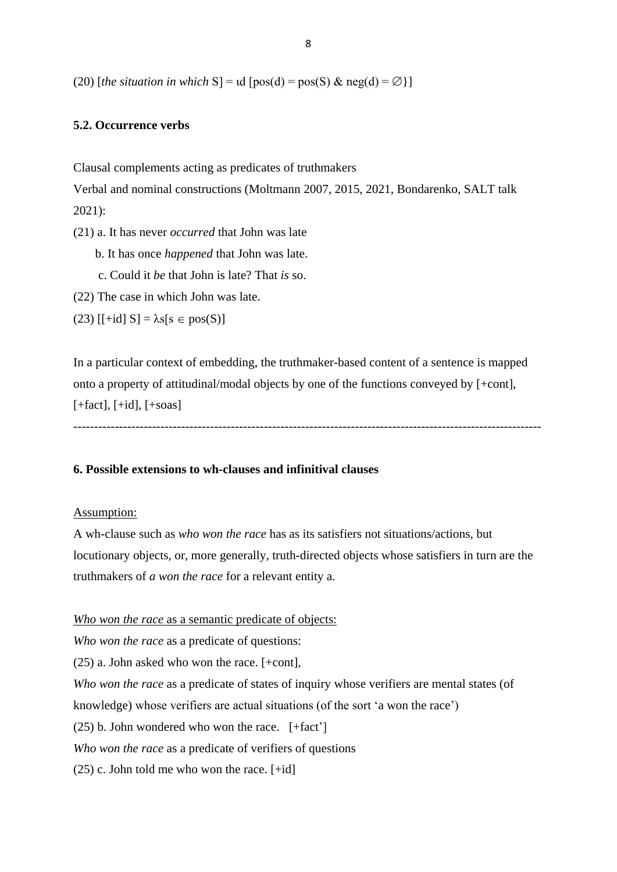(20) [*the situation in which* S] = ιd [pos(d) = pos(S) & neg(d) =  $\emptyset$  }]

### **5.2. Occurrence verbs**

Clausal complements acting as predicates of truthmakers

Verbal and nominal constructions (Moltmann 2007, 2015, 2021, Bondarenko, SALT talk 2021):

(21) a. It has never *occurred* that John was late

b. It has once *happened* that John was late.

c. Could it *be* that John is late? That *is* so.

(22) The case in which John was late.

(23)  $[$ [+id] S] =  $\lambda$ s[s  $\in$  pos(S)]

In a particular context of embedding, the truthmaker-based content of a sentence is mapped onto a property of attitudinal/modal objects by one of the functions conveyed by [+cont],  $[+fact], [+id], [+soas]$ 

-----------------------------------------------------------------------------------------------------------------

### **6. Possible extensions to wh-clauses and infinitival clauses**

#### Assumption:

A wh-clause such as *who won the race* has as its satisfiers not situations/actions, but locutionary objects, or, more generally, truth-directed objects whose satisfiers in turn are the truthmakers of *a won the race* for a relevant entity a.

*Who won the race* as a semantic predicate of objects:

*Who won the race* as a predicate of questions:

(25) a. John asked who won the race. [+cont],

*Who won the race* as a predicate of states of inquiry whose verifiers are mental states (of

knowledge) whose verifiers are actual situations (of the sort 'a won the race')

 $(25)$  b. John wondered who won the race.  $[+fact^{\dagger}]$ 

*Who won the race* as a predicate of verifiers of questions

 $(25)$  c. John told me who won the race.  $[+id]$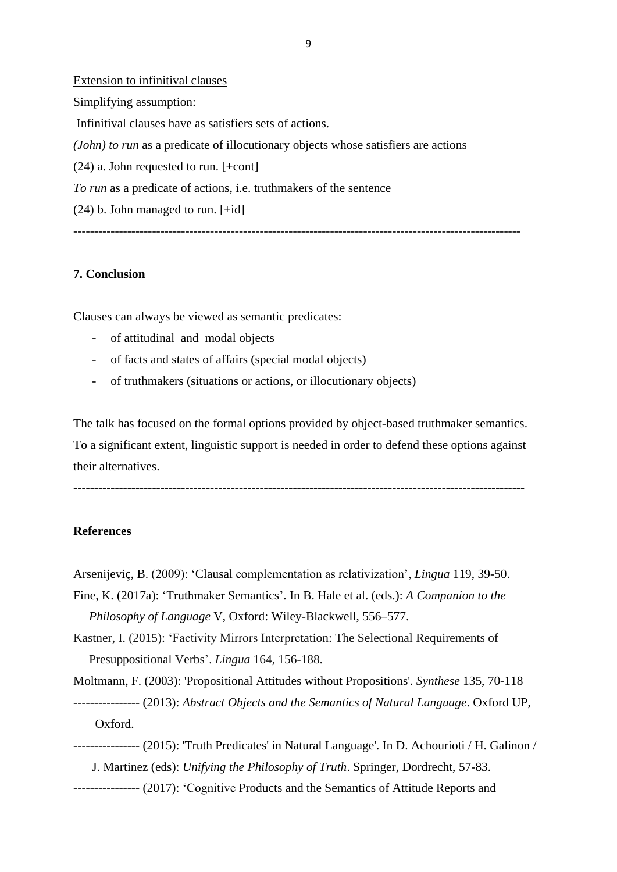Extension to infinitival clauses Simplifying assumption: Infinitival clauses have as satisfiers sets of actions. *(John) to run* as a predicate of illocutionary objects whose satisfiers are actions (24) a. John requested to run. [+cont] *To run* as a predicate of actions, i.e. truthmakers of the sentence  $(24)$  b. John managed to run.  $[+id]$ ------------------------------------------------------------------------------------------------------------

### **7. Conclusion**

Clauses can always be viewed as semantic predicates:

- of attitudinal and modal objects
- of facts and states of affairs (special modal objects)
- of truthmakers (situations or actions, or illocutionary objects)

The talk has focused on the formal options provided by object-based truthmaker semantics. To a significant extent, linguistic support is needed in order to defend these options against their alternatives.

**-------------------------------------------------------------------------------------------------------------**

#### **References**

#### Arsenijeviç, B. (2009): 'Clausal complementation as relativization', *Lingua* 119, 39-50.

Fine, K. (2017a): 'Truthmaker Semantics'. In B. Hale et al. (eds.): *A Companion to the Philosophy of Language* V, Oxford: Wiley-Blackwell, 556–577.

Kastner, I. (2015): 'Factivity Mirrors Interpretation: The Selectional Requirements of Presuppositional Verbs'. *Lingua* 164, 156-188.

Moltmann, F. (2003): 'Propositional Attitudes without Propositions'. *Synthese* 135, 70-118

- ---------------- (2013): *Abstract Objects and the Semantics of Natural Language*. Oxford UP, Oxford.
- ---------------- (2015): 'Truth Predicates' in Natural Language'. In D. Achourioti / H. Galinon / J. Martinez (eds): *Unifying the Philosophy of Truth*. Springer, Dordrecht, 57-83.
- ---------------- (2017): 'Cognitive Products and the Semantics of Attitude Reports and